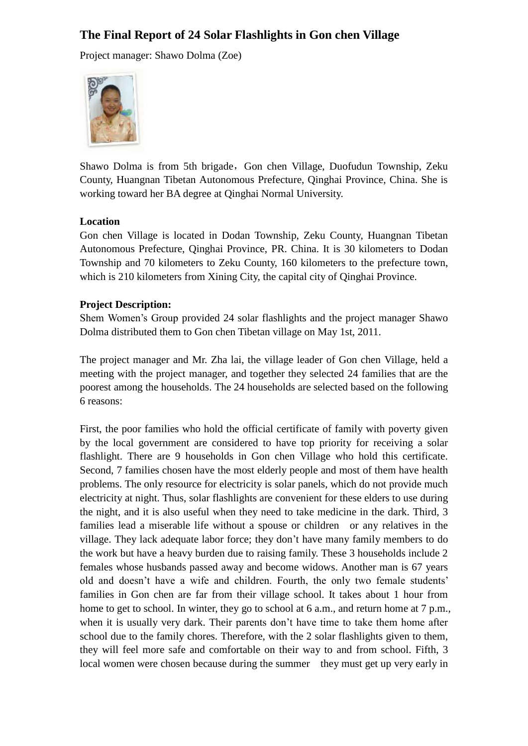# **The Final Report of 24 Solar Flashlights in Gon chen Village**

Project manager: Shawo Dolma (Zoe)



Shawo Dolma is from 5th brigade, Gon chen Village, Duofudun Township, Zeku County, Huangnan Tibetan Autonomous Prefecture, Qinghai Province, China. She is working toward her BA degree at Qinghai Normal University.

## **Location**

Gon chen Village is located in Dodan Township, Zeku County, Huangnan Tibetan Autonomous Prefecture, Qinghai Province, PR. China. It is 30 kilometers to Dodan Township and 70 kilometers to Zeku County, 160 kilometers to the prefecture town, which is 210 kilometers from Xining City, the capital city of Qinghai Province.

## **Project Description:**

Shem Women's Group provided 24 solar flashlights and the project manager Shawo Dolma distributed them to Gon chen Tibetan village on May 1st, 2011.

The project manager and Mr. Zha lai, the village leader of Gon chen Village, held a meeting with the project manager, and together they selected 24 families that are the poorest among the households. The 24 households are selected based on the following 6 reasons:

First, the poor families who hold the official certificate of family with poverty given by the local government are considered to have top priority for receiving a solar flashlight. There are 9 households in Gon chen Village who hold this certificate. Second, 7 families chosen have the most elderly people and most of them have health problems. The only resource for electricity is solar panels, which do not provide much electricity at night. Thus, solar flashlights are convenient for these elders to use during the night, and it is also useful when they need to take medicine in the dark. Third, 3 families lead a miserable life without a spouse or children or any relatives in the village. They lack adequate labor force; they don't have many family members to do the work but have a heavy burden due to raising family. These 3 households include 2 females whose husbands passed away and become widows. Another man is 67 years old and doesn't have a wife and children. Fourth, the only two female students' families in Gon chen are far from their village school. It takes about 1 hour from home to get to school. In winter, they go to school at 6 a.m., and return home at 7 p.m., when it is usually very dark. Their parents don't have time to take them home after school due to the family chores. Therefore, with the 2 solar flashlights given to them, they will feel more safe and comfortable on their way to and from school. Fifth, 3 local women were chosen because during the summer they must get up very early in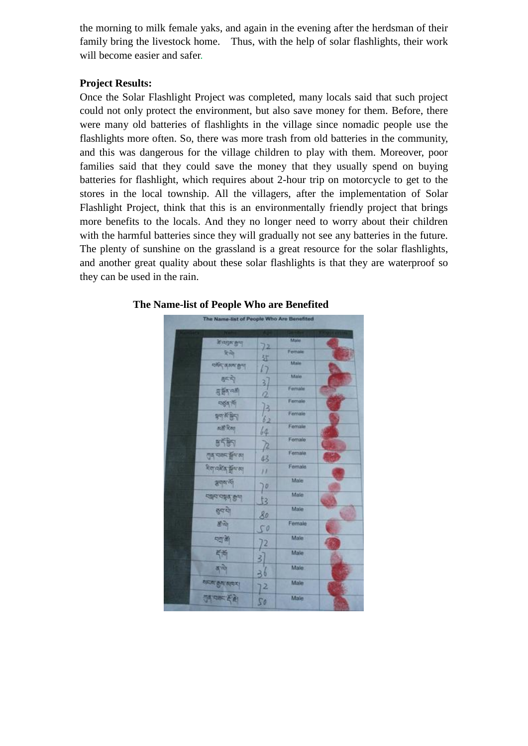the morning to milk female yaks, and again in the evening after the herdsman of their family bring the livestock home. Thus, with the help of solar flashlights, their work will become easier and safer.

## **Project Results:**

Once the Solar Flashlight Project was completed, many locals said that such project could not only protect the environment, but also save money for them. Before, there were many old batteries of flashlights in the village since nomadic people use the flashlights more often. So, there was more trash from old batteries in the community, and this was dangerous for the village children to play with them. Moreover, poor families said that they could save the money that they usually spend on buying batteries for flashlight, which requires about 2-hour trip on motorcycle to get to the stores in the local township. All the villagers, after the implementation of Solar Flashlight Project, think that this is an environmentally friendly project that brings more benefits to the locals. And they no longer need to worry about their children with the harmful batteries since they will gradually not see any batteries in the future. The plenty of sunshine on the grassland is a great resource for the solar flashlights, and another great quality about these solar flashlights is that they are waterproof so they can be used in the rain.



#### **The Name-list of People Who are Benefited**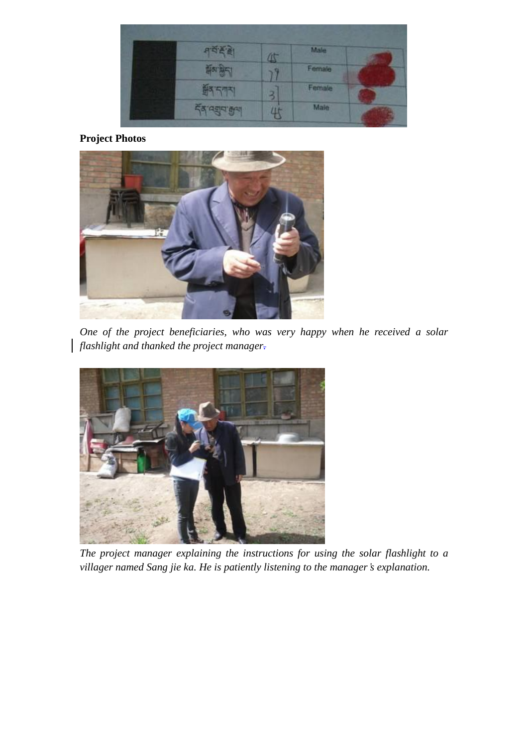|                  | 71                      | Malle<br>101 11 |  |
|------------------|-------------------------|-----------------|--|
| <b>TIST BIST</b> |                         | Female          |  |
| र्जुन स्थान      | $\overline{\mathbf{3}}$ | Female          |  |
| <b>GEIR ROLL</b> |                         | Male            |  |

# **Project Photos**



*One of the project beneficiaries, who was very happy when he received a solar flashlight and thanked the project manager.*



*The project manager explaining the instructions for using the solar flashlight to a villager named Sang jie ka. He is patiently listening to the manager's explanation.*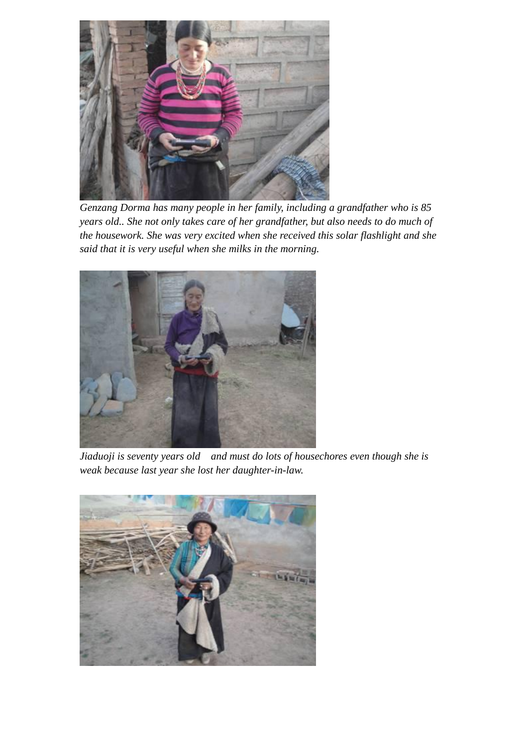

*Genzang Dorma has many people in her family, including a grandfather who is 85 years old.. She not only takes care of her grandfather, but also needs to do much of the housework. She was very excited when she received this solar flashlight and she said that it is very useful when she milks in the morning.*



*Jiaduoji is seventy years old and must do lots of housechores even though she is weak because last year she lost her daughter-in-law.*

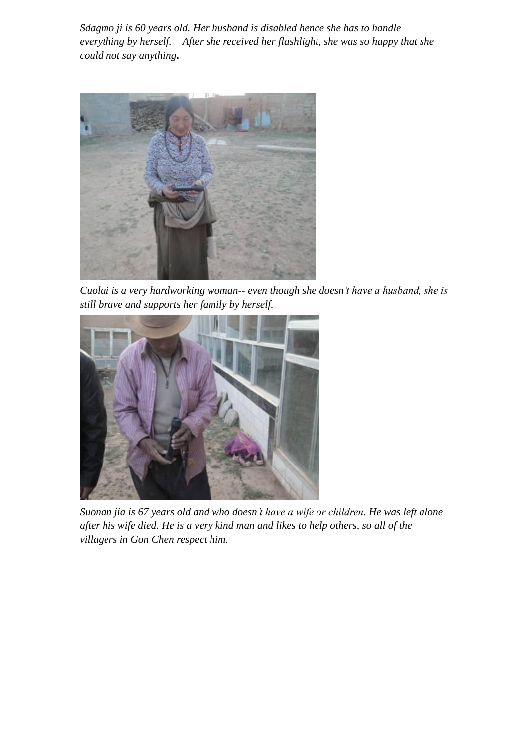*Sdagmo ji is 60 years old. Her husband is disabled hence she has to handle everything by herself. After she received her flashlight, she was so happy that she could not say anything***.** 



*Cuolai is a very hardworking woman-- even though she doesn't have a husband, she is still brave and supports her family by herself.*



*Suonan jia is 67 years old and who doesn't have a wife or children. He was left alone after his wife died. He is a very kind man and likes to help others, so all of the villagers in Gon Chen respect him.*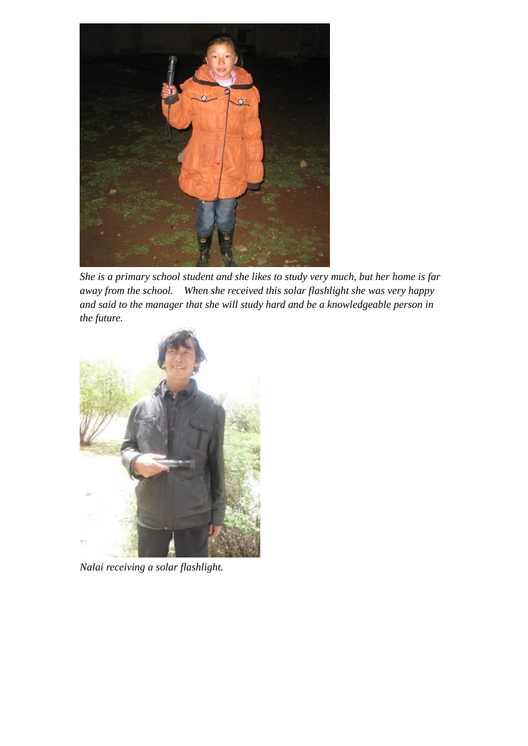

*She is a primary school student and she likes to study very much, but her home is far away from the school. When she received this solar flashlight she was very happy and said to the manager that she will study hard and be a knowledgeable person in the future.*



*Nalai receiving a solar flashlight.*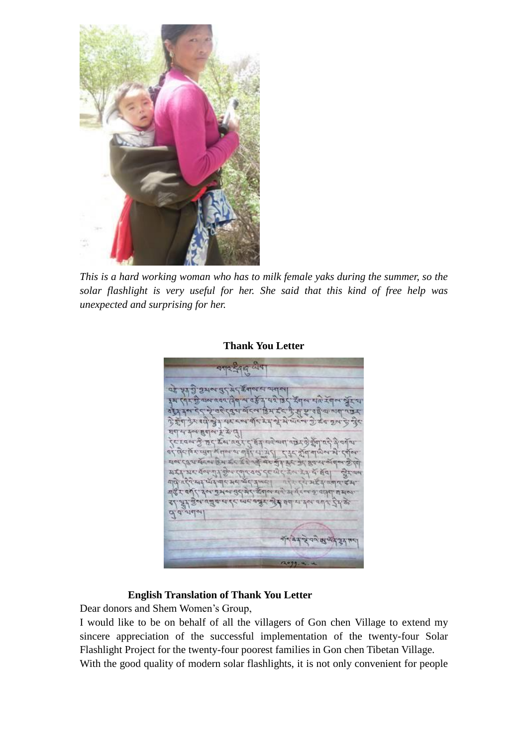

*This is a hard working woman who has to milk female yaks during the summer, so the solar flashlight is very useful for her. She said that this kind of free help was unexpected and surprising for her.*

पर पर गुं प्रथम पर मर है बाल या जब स रवय दिवाच वर्षे द यथे छेद रेवाच चारे रॅवन्स ग्रॅटय दुष्य बॅदल डिम इंद के सू मृत्य के प्राण 应 या दब्ब बाद रे मुझे ये यादव गुरु दब गुल के दौर हे इंग देर ग्लै श्रे  $a$  Balar &  $x$  id . रवस्त्र के छन् कूल, प्रबे<u>र ने बूर्य ना</u>डु जाते, उन्ने बुद्धा प्रमुख के वर्ष जा ल रहत बूट का हुन कर मुझे ता मेरी दिन में बीच बाल का बी<br>पुरा पूर तक पूर्ण कर में ही ता मेरी दिन मूर्ण बाल का मु zyes प्रदर्श गर वन्न ग्री कुन रवार वल देव जेर डेल हैं। यू बूवा लेरलम algraficas usadeste med visites se de se de der all su ann de gli quand si gens addissen मैं में के नाय में बात देता जात क्षेत्र और व्या ना पैथा वर्ष  $4.543$ 77 d. d. stalet ने वल व्युष्पदेश्व

#### **Thank You Letter**

#### **English Translation of Thank You Letter**

Dear donors and Shem Women's Group,

I would like to be on behalf of all the villagers of Gon chen Village to extend my sincere appreciation of the successful implementation of the twenty-four Solar Flashlight Project for the twenty-four poorest families in Gon chen Tibetan Village. With the good quality of modern solar flashlights, it is not only convenient for people